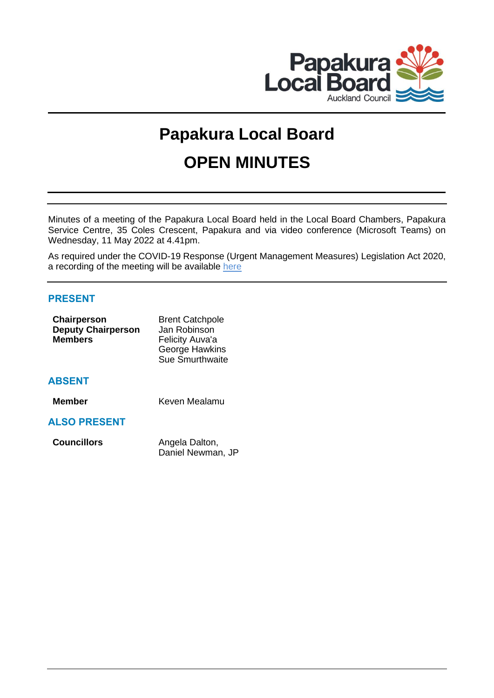

# **Papakura Local Board OPEN MINUTES**

Minutes of a meeting of the Papakura Local Board held in the Local Board Chambers, Papakura Service Centre, 35 Coles Crescent, Papakura and via video conference (Microsoft Teams) on Wednesday, 11 May 2022 at 4.41pm.

As required under the COVID-19 Response (Urgent Management Measures) Legislation Act 2020, a recording of the meeting will be available [here](https://www.aucklandcouncil.govt.nz/about-auckland-council/how-auckland-council-works/meetings-council-bodies/Pages/webcasts-council-meetings.aspx)

## **PRESENT**

| Chairperson               | <b>Brent Catchpole</b> |
|---------------------------|------------------------|
| <b>Deputy Chairperson</b> | Jan Robinson           |
| <b>Members</b>            | Felicity Auva'a        |
|                           | <b>George Hawkins</b>  |
|                           | Sue Smurthwaite        |
|                           |                        |
|                           |                        |

## **ABSENT**

**Member** Keven Mealamu

## **ALSO PRESENT**

| <b>Councillors</b> | Angela Dalton,    |
|--------------------|-------------------|
|                    | Daniel Newman, JP |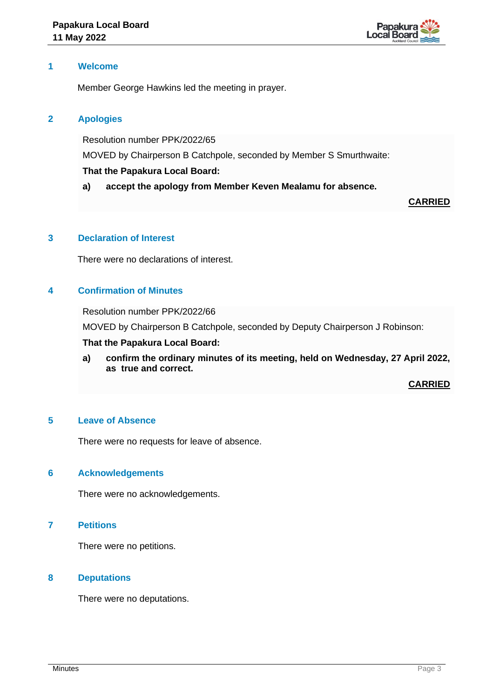

## **1 Welcome**

Member George Hawkins led the meeting in prayer.

## **2 Apologies**

Resolution number PPK/2022/65

MOVED by Chairperson B Catchpole, seconded by Member S Smurthwaite:

## **That the Papakura Local Board:**

**a) accept the apology from Member Keven Mealamu for absence.**

**CARRIED**

## **3 Declaration of Interest**

There were no declarations of interest.

## **4 Confirmation of Minutes**

Resolution number PPK/2022/66

MOVED by Chairperson B Catchpole, seconded by Deputy Chairperson J Robinson:

### **That the Papakura Local Board:**

**a) confirm the ordinary minutes of its meeting, held on Wednesday, 27 April 2022, as true and correct.**

**CARRIED**

## **5 Leave of Absence**

There were no requests for leave of absence.

### **6 Acknowledgements**

There were no acknowledgements.

## **7 Petitions**

There were no petitions.

## **8 Deputations**

There were no deputations.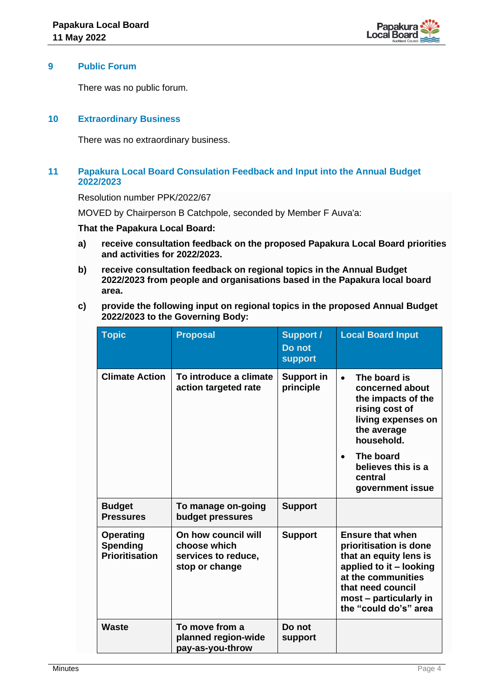

## **9 Public Forum**

There was no public forum.

## **10 Extraordinary Business**

There was no extraordinary business.

## **11 Papakura Local Board Consulation Feedback and Input into the Annual Budget 2022/2023**

Resolution number PPK/2022/67

MOVED by Chairperson B Catchpole, seconded by Member F Auva'a:

#### **That the Papakura Local Board:**

- **a) receive consultation feedback on the proposed Papakura Local Board priorities and activities for 2022/2023.**
- **b) receive consultation feedback on regional topics in the Annual Budget 2022/2023 from people and organisations based in the Papakura local board area.**
- **c) provide the following input on regional topics in the proposed Annual Budget 2022/2023 to the Governing Body:**

| <b>Topic</b>                                                 | <b>Proposal</b>                                                                  | <b>Support /</b><br>Do not<br><b>support</b> | <b>Local Board Input</b>                                                                                                                                                                             |
|--------------------------------------------------------------|----------------------------------------------------------------------------------|----------------------------------------------|------------------------------------------------------------------------------------------------------------------------------------------------------------------------------------------------------|
| <b>Climate Action</b>                                        | To introduce a climate<br><b>Support in</b><br>action targeted rate<br>principle |                                              | The board is<br>$\bullet$<br>concerned about<br>the impacts of the<br>rising cost of<br>living expenses on<br>the average<br>household.                                                              |
|                                                              |                                                                                  |                                              | The board<br>$\bullet$<br>believes this is a<br>central<br>government issue                                                                                                                          |
| <b>Budget</b><br><b>Pressures</b>                            | To manage on-going<br>budget pressures                                           | <b>Support</b>                               |                                                                                                                                                                                                      |
| <b>Operating</b><br><b>Spending</b><br><b>Prioritisation</b> | On how council will<br>choose which<br>services to reduce,<br>stop or change     | <b>Support</b>                               | <b>Ensure that when</b><br>prioritisation is done<br>that an equity lens is<br>applied to it - looking<br>at the communities<br>that need council<br>most – particularly in<br>the "could do's" area |
| <b>Waste</b>                                                 | To move from a<br>planned region-wide<br>pay-as-you-throw                        | Do not<br>support                            |                                                                                                                                                                                                      |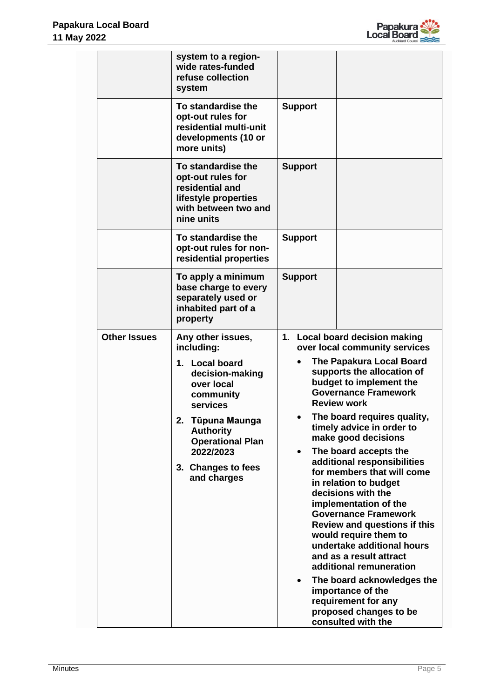

|                     | system to a region-<br>wide rates-funded<br>refuse collection<br>system                                                                                                                                                             |                                                                                                                                                                                                                                                                                                                                                                                                                                                                                                                                                                                                                                                                                                                                                                                                          |
|---------------------|-------------------------------------------------------------------------------------------------------------------------------------------------------------------------------------------------------------------------------------|----------------------------------------------------------------------------------------------------------------------------------------------------------------------------------------------------------------------------------------------------------------------------------------------------------------------------------------------------------------------------------------------------------------------------------------------------------------------------------------------------------------------------------------------------------------------------------------------------------------------------------------------------------------------------------------------------------------------------------------------------------------------------------------------------------|
|                     | To standardise the<br>opt-out rules for<br>residential multi-unit<br>developments (10 or<br>more units)                                                                                                                             | <b>Support</b>                                                                                                                                                                                                                                                                                                                                                                                                                                                                                                                                                                                                                                                                                                                                                                                           |
|                     | To standardise the<br>opt-out rules for<br>residential and<br>lifestyle properties<br>with between two and<br>nine units                                                                                                            | <b>Support</b>                                                                                                                                                                                                                                                                                                                                                                                                                                                                                                                                                                                                                                                                                                                                                                                           |
|                     | To standardise the<br>opt-out rules for non-<br>residential properties                                                                                                                                                              | <b>Support</b>                                                                                                                                                                                                                                                                                                                                                                                                                                                                                                                                                                                                                                                                                                                                                                                           |
|                     | To apply a minimum<br>base charge to every<br>separately used or<br>inhabited part of a<br>property                                                                                                                                 | <b>Support</b>                                                                                                                                                                                                                                                                                                                                                                                                                                                                                                                                                                                                                                                                                                                                                                                           |
| <b>Other Issues</b> | Any other issues,<br>including:<br>1. Local board<br>decision-making<br>over local<br>community<br>services<br>Tūpuna Maunga<br>2.<br><b>Authority</b><br><b>Operational Plan</b><br>2022/2023<br>3. Changes to fees<br>and charges | 1. Local board decision making<br>over local community services<br><b>The Papakura Local Board</b><br>$\bullet$<br>supports the allocation of<br>budget to implement the<br><b>Governance Framework</b><br><b>Review work</b><br>The board requires quality,<br>timely advice in order to<br>make good decisions<br>The board accepts the<br>additional responsibilities<br>for members that will come<br>in relation to budget<br>decisions with the<br>implementation of the<br><b>Governance Framework</b><br><b>Review and questions if this</b><br>would require them to<br>undertake additional hours<br>and as a result attract<br>additional remuneration<br>The board acknowledges the<br>$\bullet$<br>importance of the<br>requirement for any<br>proposed changes to be<br>consulted with the |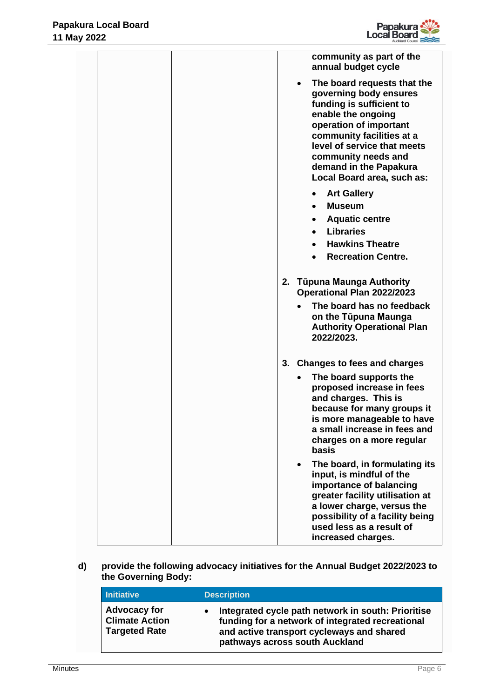

|  | community as part of the<br>annual budget cycle                                                                                                                                                                                                                                           |
|--|-------------------------------------------------------------------------------------------------------------------------------------------------------------------------------------------------------------------------------------------------------------------------------------------|
|  | The board requests that the<br>$\bullet$<br>governing body ensures<br>funding is sufficient to<br>enable the ongoing<br>operation of important<br>community facilities at a<br>level of service that meets<br>community needs and<br>demand in the Papakura<br>Local Board area, such as: |
|  | <b>Art Gallery</b>                                                                                                                                                                                                                                                                        |
|  | <b>Museum</b>                                                                                                                                                                                                                                                                             |
|  | <b>Aquatic centre</b>                                                                                                                                                                                                                                                                     |
|  | <b>Libraries</b><br><b>Hawkins Theatre</b>                                                                                                                                                                                                                                                |
|  | <b>Recreation Centre.</b>                                                                                                                                                                                                                                                                 |
|  |                                                                                                                                                                                                                                                                                           |
|  | 2. Tūpuna Maunga Authority<br>Operational Plan 2022/2023                                                                                                                                                                                                                                  |
|  | The board has no feedback<br>on the Tūpuna Maunga<br><b>Authority Operational Plan</b><br>2022/2023.                                                                                                                                                                                      |
|  | 3. Changes to fees and charges                                                                                                                                                                                                                                                            |
|  | The board supports the<br>$\bullet$<br>proposed increase in fees<br>and charges. This is<br>because for many groups it<br>is more manageable to have<br>a small increase in fees and<br>charges on a more regular<br>basis                                                                |
|  | The board, in formulating its<br>input, is mindful of the<br>importance of balancing<br>greater facility utilisation at<br>a lower charge, versus the<br>possibility of a facility being<br>used less as a result of<br>increased charges.                                                |

**d) provide the following advocacy initiatives for the Annual Budget 2022/2023 to the Governing Body:**

| <b>Initiative</b>                                                    | <b>Description</b>                                                                                                                                                                    |  |
|----------------------------------------------------------------------|---------------------------------------------------------------------------------------------------------------------------------------------------------------------------------------|--|
| <b>Advocacy for</b><br><b>Climate Action</b><br><b>Targeted Rate</b> | Integrated cycle path network in south: Prioritise<br>funding for a network of integrated recreational<br>and active transport cycleways and shared<br>pathways across south Auckland |  |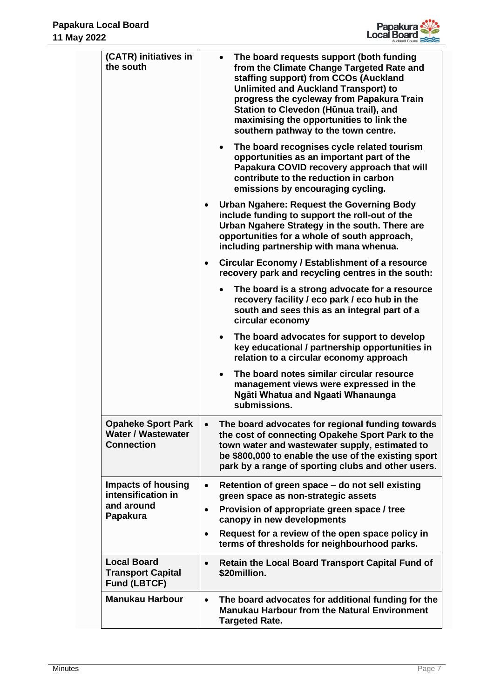

| (CATR) initiatives in<br>the south                                          | The board requests support (both funding<br>from the Climate Change Targeted Rate and<br>staffing support) from CCOs (Auckland<br><b>Unlimited and Auckland Transport) to</b><br>progress the cycleway from Papakura Train<br>Station to Clevedon (Hūnua trail), and<br>maximising the opportunities to link the<br>southern pathway to the town centre. |
|-----------------------------------------------------------------------------|----------------------------------------------------------------------------------------------------------------------------------------------------------------------------------------------------------------------------------------------------------------------------------------------------------------------------------------------------------|
|                                                                             | The board recognises cycle related tourism<br>opportunities as an important part of the<br>Papakura COVID recovery approach that will<br>contribute to the reduction in carbon<br>emissions by encouraging cycling.                                                                                                                                      |
|                                                                             | <b>Urban Ngahere: Request the Governing Body</b><br>include funding to support the roll-out of the<br>Urban Ngahere Strategy in the south. There are<br>opportunities for a whole of south approach,<br>including partnership with mana whenua.                                                                                                          |
|                                                                             | <b>Circular Economy / Establishment of a resource</b><br>recovery park and recycling centres in the south:                                                                                                                                                                                                                                               |
|                                                                             | The board is a strong advocate for a resource<br>recovery facility / eco park / eco hub in the<br>south and sees this as an integral part of a<br>circular economy                                                                                                                                                                                       |
|                                                                             | The board advocates for support to develop<br>key educational / partnership opportunities in<br>relation to a circular economy approach                                                                                                                                                                                                                  |
|                                                                             | The board notes similar circular resource<br>management views were expressed in the<br>Ngāti Whatua and Ngaati Whanaunga<br>submissions.                                                                                                                                                                                                                 |
| <b>Opaheke Sport Park</b><br><b>Water / Wastewater</b><br><b>Connection</b> | The board advocates for regional funding towards<br>$\bullet$<br>the cost of connecting Opakehe Sport Park to the<br>town water and wastewater supply, estimated to<br>be \$800,000 to enable the use of the existing sport<br>park by a range of sporting clubs and other users.                                                                        |
| <b>Impacts of housing</b><br>intensification in                             | Retention of green space - do not sell existing<br>$\bullet$<br>green space as non-strategic assets                                                                                                                                                                                                                                                      |
| and around<br>Papakura                                                      | Provision of appropriate green space / tree<br>$\bullet$<br>canopy in new developments                                                                                                                                                                                                                                                                   |
|                                                                             | Request for a review of the open space policy in<br>$\bullet$<br>terms of thresholds for neighbourhood parks.                                                                                                                                                                                                                                            |
| <b>Local Board</b><br><b>Transport Capital</b><br><b>Fund (LBTCF)</b>       | <b>Retain the Local Board Transport Capital Fund of</b><br>\$20million.                                                                                                                                                                                                                                                                                  |
| <b>Manukau Harbour</b>                                                      | The board advocates for additional funding for the<br>$\bullet$<br><b>Manukau Harbour from the Natural Environment</b><br><b>Targeted Rate.</b>                                                                                                                                                                                                          |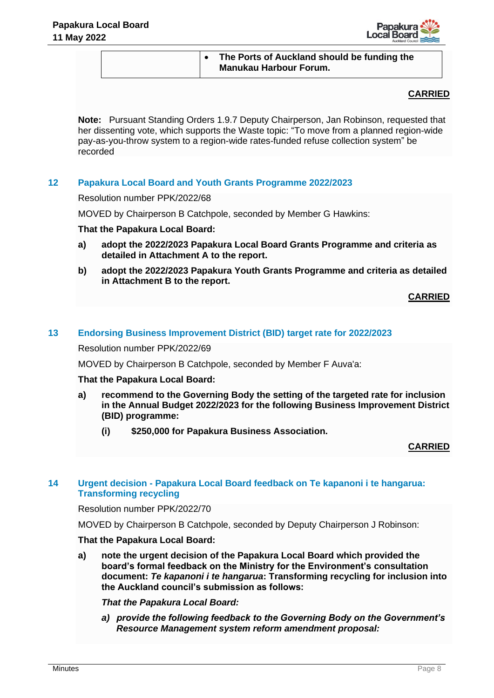

## • **The Ports of Auckland should be funding the Manukau Harbour Forum.**

## **CARRIED**

**Note:** Pursuant Standing Orders 1.9.7 Deputy Chairperson, Jan Robinson, requested that her dissenting vote, which supports the Waste topic: "To move from a planned region-wide pay-as-you-throw system to a region-wide rates-funded refuse collection system" be recorded

## **12 Papakura Local Board and Youth Grants Programme 2022/2023**

Resolution number PPK/2022/68

MOVED by Chairperson B Catchpole, seconded by Member G Hawkins:

## **That the Papakura Local Board:**

- **a) adopt the 2022/2023 Papakura Local Board Grants Programme and criteria as detailed in Attachment A to the report.**
- **b) adopt the 2022/2023 Papakura Youth Grants Programme and criteria as detailed in Attachment B to the report.**

**CARRIED**

## **13 Endorsing Business Improvement District (BID) target rate for 2022/2023**

Resolution number PPK/2022/69

MOVED by Chairperson B Catchpole, seconded by Member F Auva'a:

### **That the Papakura Local Board:**

- **a) recommend to the Governing Body the setting of the targeted rate for inclusion in the Annual Budget 2022/2023 for the following Business Improvement District (BID) programme:**
	- **(i) \$250,000 for Papakura Business Association.**

## **CARRIED**

## **14 Urgent decision - Papakura Local Board feedback on Te kapanoni i te hangarua: Transforming recycling**

Resolution number PPK/2022/70

MOVED by Chairperson B Catchpole, seconded by Deputy Chairperson J Robinson:

## **That the Papakura Local Board:**

**a) note the urgent decision of the Papakura Local Board which provided the board's formal feedback on the Ministry for the Environment's consultation document:** *Te kapanoni i te hangarua***: Transforming recycling for inclusion into the Auckland council's submission as follows:**

*That the Papakura Local Board:*

*a) provide the following feedback to the Governing Body on the Government's Resource Management system reform amendment proposal:*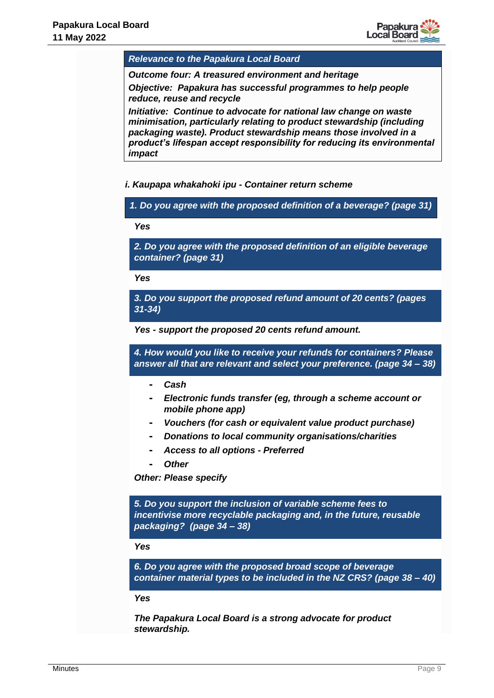

*Relevance to the Papakura Local Board* 

*Outcome four: A treasured environment and heritage*

*Objective: Papakura has successful programmes to help people reduce, reuse and recycle*

*Initiative: Continue to advocate for national law change on waste minimisation, particularly relating to product stewardship (including packaging waste). Product stewardship means those involved in a product's lifespan accept responsibility for reducing its environmental impact*

*i. Kaupapa whakahoki ipu - Container return scheme*

*1. Do you agree with the proposed definition of a beverage? (page 31)*

*Yes*

*2. Do you agree with the proposed definition of an eligible beverage container? (page 31)*

*Yes*

*3. Do you support the proposed refund amount of 20 cents? (pages 31-34)*

*Yes - support the proposed 20 cents refund amount.*

*4. How would you like to receive your refunds for containers? Please answer all that are relevant and select your preference. (page 34 – 38)*

- **-** *Cash*
- **-** *Electronic funds transfer (eg, through a scheme account or mobile phone app)*
- **-** *Vouchers (for cash or equivalent value product purchase)*
- **-** *Donations to local community organisations/charities*
- **-** *Access to all options - Preferred*
	- **-** *Other*

*Other: Please specify*

*5. Do you support the inclusion of variable scheme fees to incentivise more recyclable packaging and, in the future, reusable packaging? (page 34 – 38)*

*Yes*

*6. Do you agree with the proposed broad scope of beverage container material types to be included in the NZ CRS? (page 38 – 40)*

#### *Yes*

*The Papakura Local Board is a strong advocate for product stewardship.*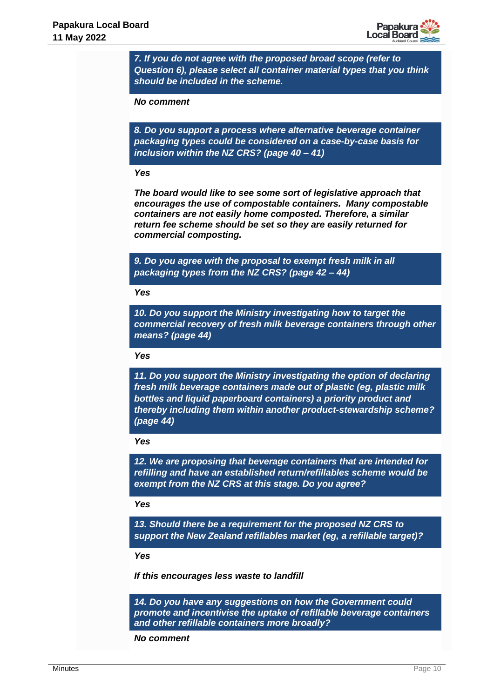

*7. If you do not agree with the proposed broad scope (refer to Question 6), please select all container material types that you think should be included in the scheme.*

*No comment*

*8. Do you support a process where alternative beverage container packaging types could be considered on a case-by-case basis for inclusion within the NZ CRS? (page 40 – 41)*

#### *Yes*

*The board would like to see some sort of legislative approach that encourages the use of compostable containers. Many compostable containers are not easily home composted. Therefore, a similar return fee scheme should be set so they are easily returned for commercial composting.*

*9. Do you agree with the proposal to exempt fresh milk in all packaging types from the NZ CRS? (page 42 – 44)*

#### *Yes*

*10. Do you support the Ministry investigating how to target the commercial recovery of fresh milk beverage containers through other means? (page 44)*

#### *Yes*

*11. Do you support the Ministry investigating the option of declaring fresh milk beverage containers made out of plastic (eg, plastic milk bottles and liquid paperboard containers) a priority product and thereby including them within another product-stewardship scheme? (page 44)*

#### *Yes*

*12. We are proposing that beverage containers that are intended for refilling and have an established return/refillables scheme would be exempt from the NZ CRS at this stage. Do you agree?*

#### *Yes*

*13. Should there be a requirement for the proposed NZ CRS to support the New Zealand refillables market (eg, a refillable target)?*

#### *Yes*

*If this encourages less waste to landfill*

*14. Do you have any suggestions on how the Government could promote and incentivise the uptake of refillable beverage containers and other refillable containers more broadly?*

*No comment*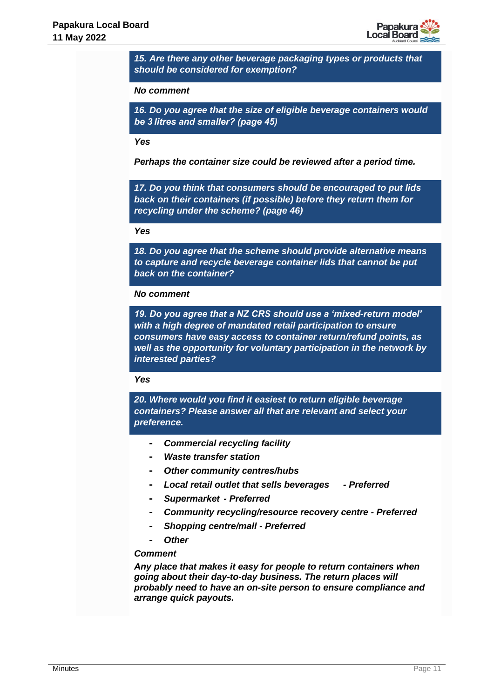

*15. Are there any other beverage packaging types or products that should be considered for exemption?*

#### *No comment*

*16. Do you agree that the size of eligible beverage containers would be 3 litres and smaller? (page 45)*

#### *Yes*

*Perhaps the container size could be reviewed after a period time.*

*17. Do you think that consumers should be encouraged to put lids back on their containers (if possible) before they return them for recycling under the scheme? (page 46)*

#### *Yes*

*18. Do you agree that the scheme should provide alternative means to capture and recycle beverage container lids that cannot be put back on the container?*

#### *No comment*

*19. Do you agree that a NZ CRS should use a 'mixed-return model' with a high degree of mandated retail participation to ensure consumers have easy access to container return/refund points, as well as the opportunity for voluntary participation in the network by interested parties?*

#### *Yes*

*20. Where would you find it easiest to return eligible beverage containers? Please answer all that are relevant and select your preference.*

- **-** *Commercial recycling facility*
- **-** *Waste transfer station*
- **-** *Other community centres/hubs*
- **-** *Local retail outlet that sells beverages - Preferred*
- **-** *Supermarket - Preferred*
- **-** *Community recycling/resource recovery centre - Preferred*
- **-** *Shopping centre/mall - Preferred*
- **-** *Other*

#### *Comment*

*Any place that makes it easy for people to return containers when going about their day-to-day business. The return places will probably need to have an on-site person to ensure compliance and arrange quick payouts.*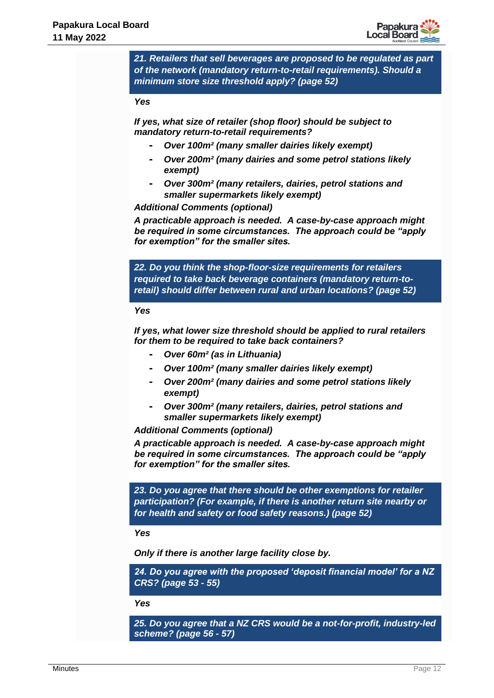

*21. Retailers that sell beverages are proposed to be regulated as part of the network (mandatory return-to-retail requirements). Should a minimum store size threshold apply? (page 52)* 

#### *Yes*

*If yes, what size of retailer (shop floor) should be subject to mandatory return-to-retail requirements?*

- **-** *Over 100m² (many smaller dairies likely exempt)*
- **-** *Over 200m² (many dairies and some petrol stations likely exempt)*
- **-** *Over 300m² (many retailers, dairies, petrol stations and smaller supermarkets likely exempt)*

*Additional Comments (optional)*

*A practicable approach is needed. A case-by-case approach might be required in some circumstances. The approach could be "apply for exemption" for the smaller sites.*

*22. Do you think the shop-floor-size requirements for retailers required to take back beverage containers (mandatory return-toretail) should differ between rural and urban locations? (page 52)*

#### *Yes*

*If yes, what lower size threshold should be applied to rural retailers for them to be required to take back containers?*

- **-** *Over 60m² (as in Lithuania)*
- **-** *Over 100m² (many smaller dairies likely exempt)*
- **-** *Over 200m² (many dairies and some petrol stations likely exempt)*
- **-** *Over 300m² (many retailers, dairies, petrol stations and smaller supermarkets likely exempt)*

*Additional Comments (optional)*

*A practicable approach is needed. A case-by-case approach might be required in some circumstances. The approach could be "apply for exemption" for the smaller sites.*

*23. Do you agree that there should be other exemptions for retailer participation? (For example, if there is another return site nearby or for health and safety or food safety reasons.) (page 52)*

*Yes*

*Only if there is another large facility close by.*

*24. Do you agree with the proposed 'deposit financial model' for a NZ CRS? (page 53 - 55)*

*Yes*

*25. Do you agree that a NZ CRS would be a not-for-profit, industry-led scheme? (page 56 - 57)*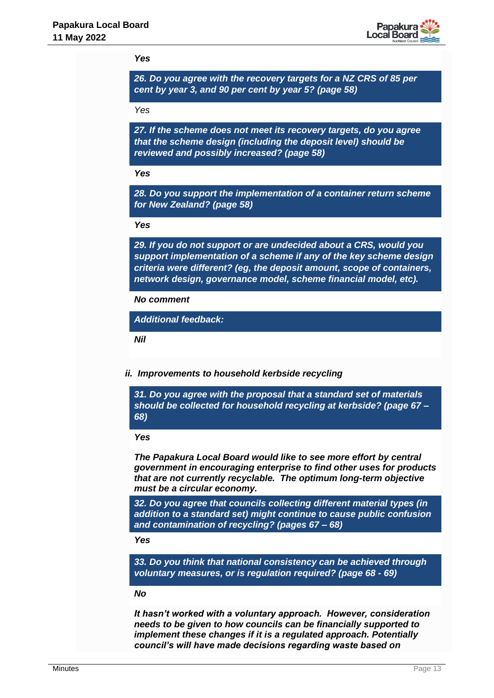

#### *Yes*

*26. Do you agree with the recovery targets for a NZ CRS of 85 per cent by year 3, and 90 per cent by year 5? (page 58)*

*Yes*

*27. If the scheme does not meet its recovery targets, do you agree that the scheme design (including the deposit level) should be reviewed and possibly increased? (page 58)*

*Yes*

*28. Do you support the implementation of a container return scheme for New Zealand? (page 58)*

*Yes*

*29. If you do not support or are undecided about a CRS, would you support implementation of a scheme if any of the key scheme design criteria were different? (eg, the deposit amount, scope of containers, network design, governance model, scheme financial model, etc).*

*No comment* 

*Additional feedback:*

*Nil* 

*ii. Improvements to household kerbside recycling* 

*31. Do you agree with the proposal that a standard set of materials should be collected for household recycling at kerbside? (page 67 – 68)*

#### *Yes*

*The Papakura Local Board would like to see more effort by central government in encouraging enterprise to find other uses for products that are not currently recyclable. The optimum long-term objective must be a circular economy.*

*32. Do you agree that councils collecting different material types (in addition to a standard set) might continue to cause public confusion and contamination of recycling? (pages 67 – 68)*

*Yes*

*33. Do you think that national consistency can be achieved through voluntary measures, or is regulation required? (page 68 - 69)*

## *No*

*It hasn't worked with a voluntary approach. However, consideration needs to be given to how councils can be financially supported to implement these changes if it is a regulated approach. Potentially council's will have made decisions regarding waste based on*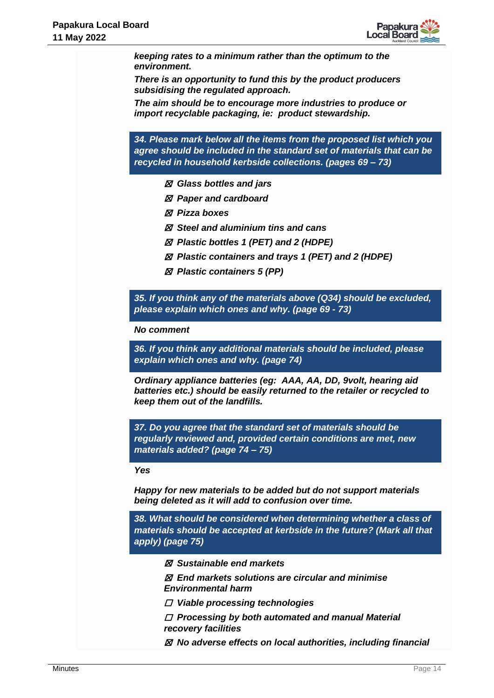

*keeping rates to a minimum rather than the optimum to the environment.* 

*There is an opportunity to fund this by the product producers subsidising the regulated approach.* 

*The aim should be to encourage more industries to produce or import recyclable packaging, ie: product stewardship.*

*34. Please mark below all the items from the proposed list which you agree should be included in the standard set of materials that can be recycled in household kerbside collections. (pages 69 – 73)*

- ☒ *Glass bottles and jars*
- ☒ *Paper and cardboard*
- ☒ *Pizza boxes*
- ☒ *Steel and aluminium tins and cans*
- ☒ *Plastic bottles 1 (PET) and 2 (HDPE)*
- ☒ *Plastic containers and trays 1 (PET) and 2 (HDPE)*
- ☒ *Plastic containers 5 (PP)*

*35. If you think any of the materials above (Q34) should be excluded, please explain which ones and why. (page 69 - 73)*

*No comment*

*36. If you think any additional materials should be included, please explain which ones and why. (page 74)*

*Ordinary appliance batteries (eg: AAA, AA, DD, 9volt, hearing aid batteries etc.) should be easily returned to the retailer or recycled to keep them out of the landfills.*

*37. Do you agree that the standard set of materials should be regularly reviewed and, provided certain conditions are met, new materials added? (page 74 – 75)* 

*Yes*

*Happy for new materials to be added but do not support materials being deleted as it will add to confusion over time.*

*38. What should be considered when determining whether a class of materials should be accepted at kerbside in the future? (Mark all that apply) (page 75)*

- ☒ *Sustainable end markets*
- ☒ *End markets solutions are circular and minimise Environmental harm*
- ☐ *Viable processing technologies*
- ☐ *Processing by both automated and manual Material recovery facilities*
- ☒ *No adverse effects on local authorities, including financial*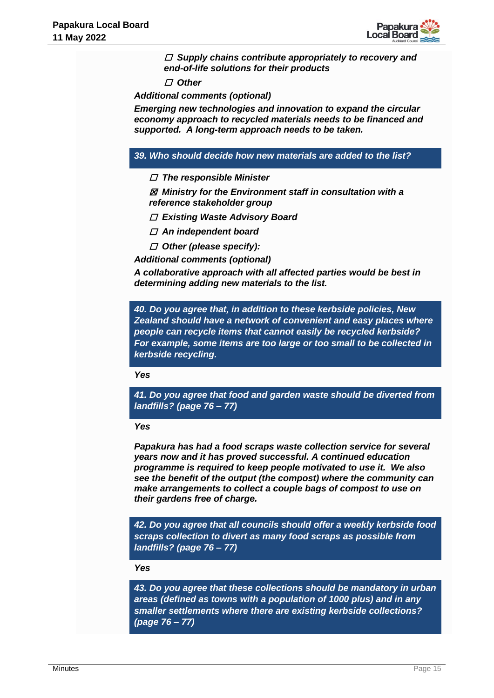

☐ *Supply chains contribute appropriately to recovery and end-of-life solutions for their products*

☐ *Other*

*Additional comments (optional)*

*Emerging new technologies and innovation to expand the circular economy approach to recycled materials needs to be financed and supported. A long-term approach needs to be taken.*

### *39. Who should decide how new materials are added to the list?*

☐ *The responsible Minister*

☒ *Ministry for the Environment staff in consultation with a reference stakeholder group*

- ☐ *Existing Waste Advisory Board*
- ☐ *An independent board*
- ☐ *Other (please specify):*
- *Additional comments (optional)*

*A collaborative approach with all affected parties would be best in determining adding new materials to the list.*

*40. Do you agree that, in addition to these kerbside policies, New Zealand should have a network of convenient and easy places where people can recycle items that cannot easily be recycled kerbside? For example, some items are too large or too small to be collected in kerbside recycling.*

*Yes*

*41. Do you agree that food and garden waste should be diverted from landfills? (page 76 – 77)*

#### *Yes*

*Papakura has had a food scraps waste collection service for several years now and it has proved successful. A continued education programme is required to keep people motivated to use it. We also see the benefit of the output (the compost) where the community can make arrangements to collect a couple bags of compost to use on their gardens free of charge.*

*42. Do you agree that all councils should offer a weekly kerbside food scraps collection to divert as many food scraps as possible from landfills? (page 76 – 77)*

#### *Yes*

*43. Do you agree that these collections should be mandatory in urban areas (defined as towns with a population of 1000 plus) and in any smaller settlements where there are existing kerbside collections? (page 76 – 77)*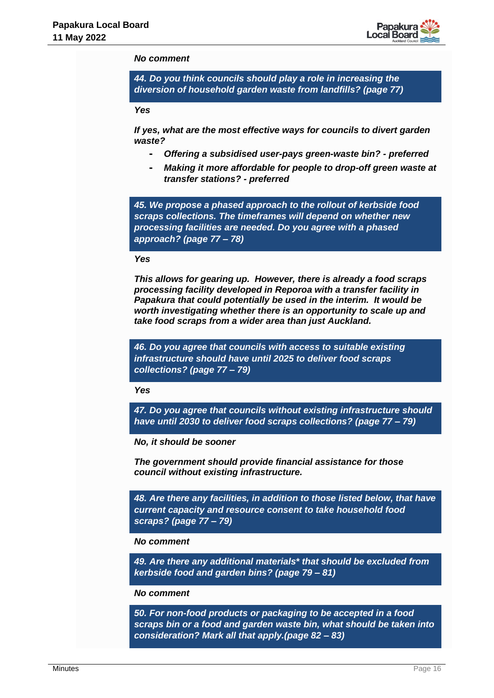

#### *No comment*

*44. Do you think councils should play a role in increasing the diversion of household garden waste from landfills? (page 77)*

#### *Yes*

*If yes, what are the most effective ways for councils to divert garden waste?*

- **-** *Offering a subsidised user-pays green-waste bin? - preferred*
- **-** *Making it more affordable for people to drop-off green waste at transfer stations? - preferred*

*45. We propose a phased approach to the rollout of kerbside food scraps collections. The timeframes will depend on whether new processing facilities are needed. Do you agree with a phased approach? (page 77 – 78)*

#### *Yes*

*This allows for gearing up. However, there is already a food scraps processing facility developed in Reporoa with a transfer facility in Papakura that could potentially be used in the interim. It would be worth investigating whether there is an opportunity to scale up and take food scraps from a wider area than just Auckland.*

*46. Do you agree that councils with access to suitable existing infrastructure should have until 2025 to deliver food scraps collections? (page 77 – 79)*

*Yes* 

*47. Do you agree that councils without existing infrastructure should have until 2030 to deliver food scraps collections? (page 77 – 79)*

*No, it should be sooner*

*The government should provide financial assistance for those council without existing infrastructure.*

*48. Are there any facilities, in addition to those listed below, that have current capacity and resource consent to take household food scraps? (page 77 – 79)*

#### *No comment*

*49. Are there any additional materials\* that should be excluded from kerbside food and garden bins? (page 79 – 81)*

#### *No comment*

*50. For non-food products or packaging to be accepted in a food scraps bin or a food and garden waste bin, what should be taken into consideration? Mark all that apply.(page 82 – 83)*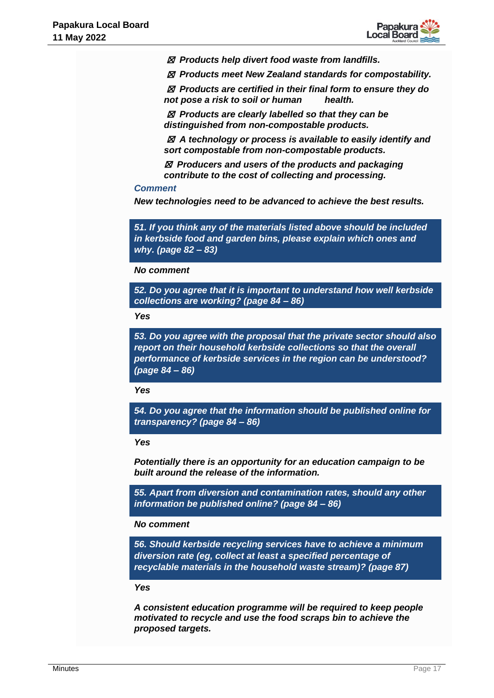

☒ *Products help divert food waste from landfills.*

☒ *Products meet New Zealand standards for compostability.*

☒ *Products are certified in their final form to ensure they do not pose a risk to soil or human health.*

☒ *Products are clearly labelled so that they can be distinguished from non-compostable products.*

☒ *A technology or process is available to easily identify and sort compostable from non-compostable products.*

☒ *Producers and users of the products and packaging contribute to the cost of collecting and processing.*

#### *Comment*

*New technologies need to be advanced to achieve the best results.*

*51. If you think any of the materials listed above should be included in kerbside food and garden bins, please explain which ones and why. (page 82 – 83)*

#### *No comment*

*52. Do you agree that it is important to understand how well kerbside collections are working? (page 84 – 86)*

*Yes*

*53. Do you agree with the proposal that the private sector should also report on their household kerbside collections so that the overall performance of kerbside services in the region can be understood? (page 84 – 86)*

#### *Yes*

*54. Do you agree that the information should be published online for transparency? (page 84 – 86)*

#### *Yes*

*Potentially there is an opportunity for an education campaign to be built around the release of the information.*

*55. Apart from diversion and contamination rates, should any other information be published online? (page 84 – 86)*

#### *No comment*

*56. Should kerbside recycling services have to achieve a minimum diversion rate (eg, collect at least a specified percentage of recyclable materials in the household waste stream)? (page 87)*

### *Yes*

*A consistent education programme will be required to keep people motivated to recycle and use the food scraps bin to achieve the proposed targets.*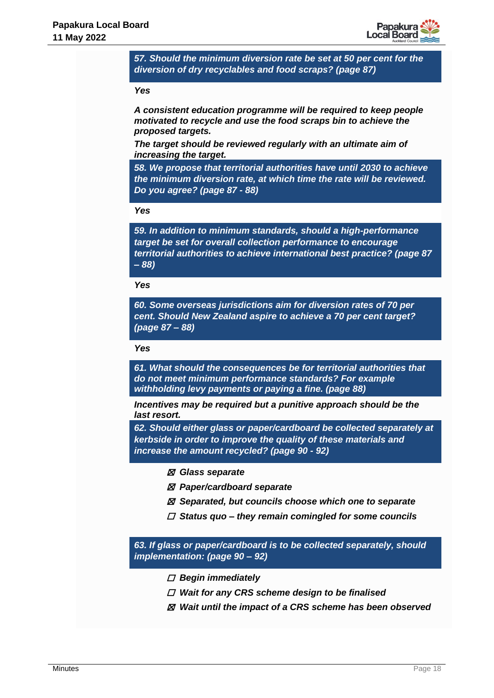

*57. Should the minimum diversion rate be set at 50 per cent for the diversion of dry recyclables and food scraps? (page 87)*

#### *Yes*

*A consistent education programme will be required to keep people motivated to recycle and use the food scraps bin to achieve the proposed targets.*

*The target should be reviewed regularly with an ultimate aim of increasing the target.*

*58. We propose that territorial authorities have until 2030 to achieve the minimum diversion rate, at which time the rate will be reviewed. Do you agree? (page 87 - 88)*

#### *Yes*

*59. In addition to minimum standards, should a high-performance target be set for overall collection performance to encourage territorial authorities to achieve international best practice? (page 87 – 88)*

*Yes*

*60. Some overseas jurisdictions aim for diversion rates of 70 per cent. Should New Zealand aspire to achieve a 70 per cent target? (page 87 – 88)*

*Yes*

*61. What should the consequences be for territorial authorities that do not meet minimum performance standards? For example withholding levy payments or paying a fine. (page 88)*

*Incentives may be required but a punitive approach should be the last resort.*

*62. Should either glass or paper/cardboard be collected separately at kerbside in order to improve the quality of these materials and increase the amount recycled? (page 90 - 92)*

- ☒ *Glass separate*
- ☒ *Paper/cardboard separate*
- ☒ *Separated, but councils choose which one to separate*
- ☐ *Status quo – they remain comingled for some councils*

*63. If glass or paper/cardboard is to be collected separately, should implementation: (page 90 – 92)*

- ☐ *Begin immediately*
- ☐ *Wait for any CRS scheme design to be finalised*
- ☒ *Wait until the impact of a CRS scheme has been observed*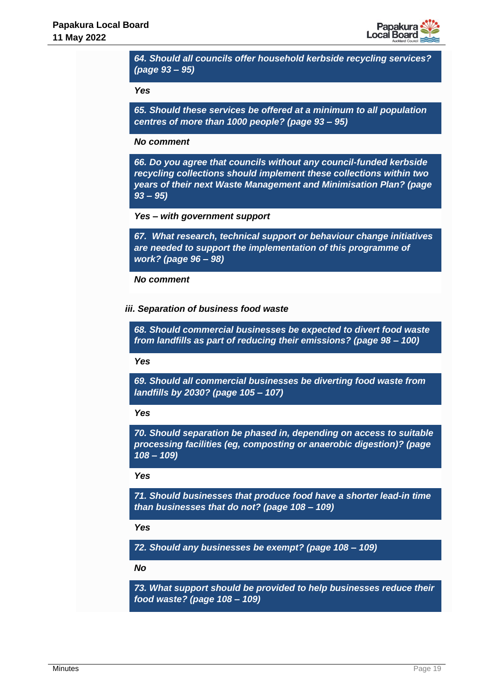

*64. Should all councils offer household kerbside recycling services? (page 93 – 95)*

#### *Yes*

*65. Should these services be offered at a minimum to all population centres of more than 1000 people? (page 93 – 95)*

#### *No comment*

*66. Do you agree that councils without any council-funded kerbside recycling collections should implement these collections within two years of their next Waste Management and Minimisation Plan? (page 93 – 95)*

*Yes – with government support*

*67. What research, technical support or behaviour change initiatives are needed to support the implementation of this programme of work? (page 96 – 98)*

#### *No comment*

*iii. Separation of business food waste* 

*68. Should commercial businesses be expected to divert food waste from landfills as part of reducing their emissions? (page 98 – 100)*

*Yes*

*69. Should all commercial businesses be diverting food waste from landfills by 2030? (page 105 – 107)*

#### *Yes*

*70. Should separation be phased in, depending on access to suitable processing facilities (eg, composting or anaerobic digestion)? (page 108 – 109)*

#### *Yes*

*71. Should businesses that produce food have a shorter lead-in time than businesses that do not? (page 108 – 109)*

*Yes*

*72. Should any businesses be exempt? (page 108 – 109)*

*No* 

*73. What support should be provided to help businesses reduce their food waste? (page 108 – 109)*